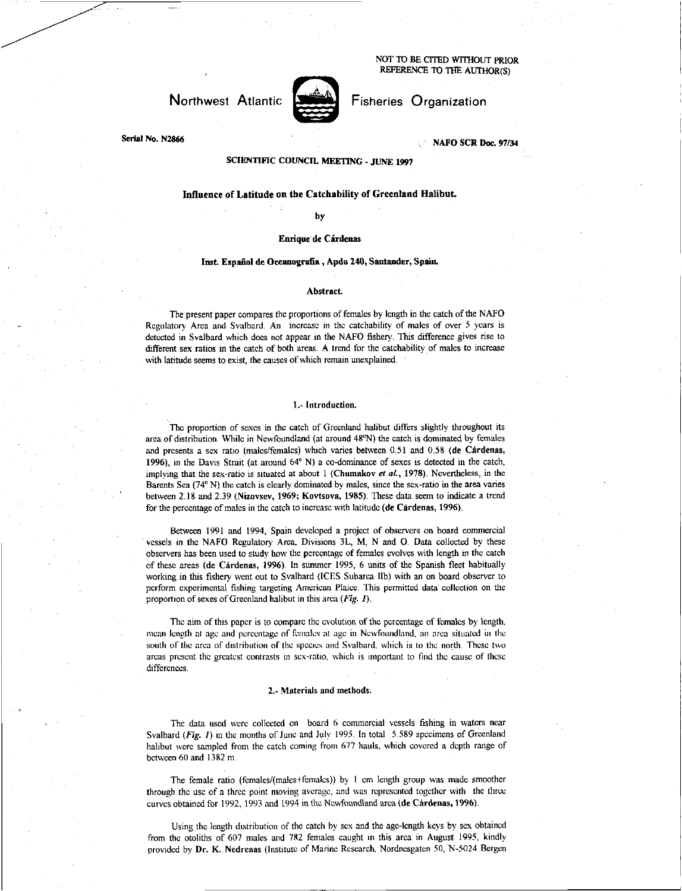NOT **ID** BE CITED WITHOUT PRIOR REFERENCE TO THE AUTHOR(S)

# Northwest Atlantic



Fisheries Organization

**Serial No. N2866 NAFO SCR Doc. 97/34** 

# **SCIENTIFIC COUNCIL MEETING - JUNE 1997**

## Influence of Latitude on the Catchability of Greenland Halibut.

**by** 

## **Enrique** de Cardenas

## **Inst Espaiiol de Oceanografia , Apdo 240, Santander, Spain.**

#### **Abstract.**

The present paper compares the proportions of females by length in the catch of the NAFO Regulatory Area and Svalbard. An increase in the catchability of males of over 5 years is detected in Svalbard which does not appear in the NAFO fishery. This difference gives rise to different sex ratios in the catch of both areas. A trend for the catchability of males to increase with latitude seems to exist, the causes of which remain unexplained.

## **1.- Introduction.**

The proportion of sexes in the catch of Greenland halibut differs slightly throughout its area of distribution. While in Newfoundland (at around 48°N) the catch is dominated by females and presents a sex ratio (males/females) which varies between 0.51 and 0.58 **(de Cardenas, 1996),** in the Davis Strait (at around 64°N) a co-dominance of sexes is detected in the catch, implying that the sex-ratio is situated at about 1 **(Chumakov** *at at,* **1978).** Nevertheless, in the Barents Sea (74° N) the catch is clearly dominated by males, since the sex-ratio in the area varies between 2.18 and 2.39 **(Nizovsev, 1969; Kovtsova, 1985).** These data seem to indicate a trend for the percentage of males in the catch to increase with latitude **(de Cardenas, 1996).** 

Between 1991 and 1994, Spain developed a project of observers on board commercial vessels in the NAFO Regulatory Area, Divisions 3L, M, N and **0.** Data collected by these observers has been used to study how the percentage of females evolves with length in the catch of these areas **(de Cardenas, 1996).** In summer 1995, 6 units of the Spanish fleet habitually working in this fishery went out to Svalbard (ICES Subarea Ilb) with an on board observer to perform experimental fishing targeting American Plaice. This permitted data collection on the proportion of sexes of Greenland halibut in this area *(Fig. I).* 

The aim of this paper is to compare the evolution of the percentage of females by length, mean length at age and percentage of females at age in Newfoundland, an area situated in the south of the area of distribution of the species and Svalbard. which is to the north. These two areas present the greatest contrasts in sex-ratio, which is important to find the cause of these differences.

#### **2.- Materials and methods.**

The data used were collected on board 6 commercial vessels fishing in waters near Svalbard *(Fig. 1)* in the months of June and July 1995. In total 5.589 specimens of Greenland halibut were sampled from the catch coming from 677 hauls, which covered a depth range of between 60 and 1382 m.

The female ratio (females/(males+females)) by 1 cm length group was made smoother through the use of a three point moving average, and was represented together with the three curves obtained for 1992, 1993 and 1994 in the Newfoundland area **(de Cardenas, 1996).** 

Using the length distribution of the catch by sex and the age-length keys by sex obtained from the otoliths of 607 males and 782 females caught in this area in August 1995, kindly provided by Dr. K. Nedreaas (Institute of Marine Research, Nordnesgaten 50, N-5024 Bergen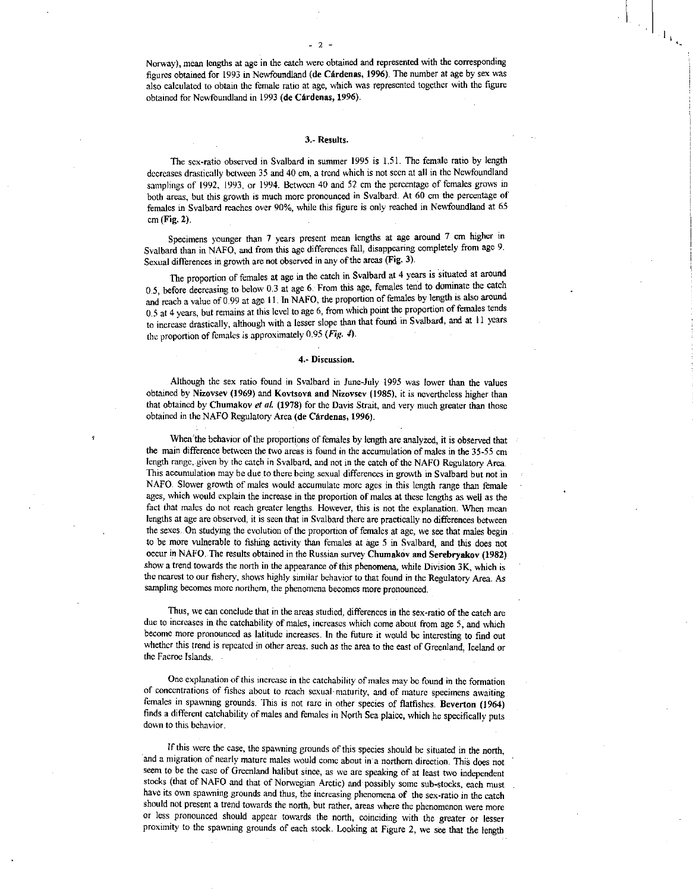$\left\langle 1_{V_{\lambda_{\gamma}}} \right\rangle$ 

Norway), mean lengths at age in the catch were obtained and represented with the corresponding figures obtained for 1993 in Newfoundland (de Cardenas, 1996). The number at age by sex was also calculated to obtain the female ratio at age, which was represented together with the figure obtained for Newfoundland in 1993 (de Cárdenas, 1996).

## 3. Results.

The sex-ratio observed in Svalbard in summer 1995 is 1.51. The female ratio by length decreases drastically between 35 and 40 cm, a trend which is not seen at all in the Newfoundland samplings of 1992, 1993, or 1994. Between 40 and 52 cm the percentage of females grows in both areas, but this growth is much more pronounced in Svalbard. At 60 cm the percentage of females in Svalbard reaches over 90%, while this figure is only reached in Newfoundland at 65 cm (Fig. 2).

Specimens younger than 7 years present mean lengths at age around 7 cm higher in Svalbard than in NAFO, and from this age differences fall, disappearing completely from age 9. Sexual differences in growth are not observed in any of the areas (Fig. 3).

The proportion of females at age in the catch in Svalbard at 4 years is situated at around 0.5, before decreasing to below 0.3 at age 6. From this age, females tend to dominate the catch and reach a value of 0.99 at age 11. In NAFO, the proportion of females by length is also around 0.5 at 4 years, but remains at this level to age 6, from which point the proportion of females tends to increase drastically, although with a lesser slope than that found in Svalbard, and at II years the proportion of females is approximately 0.95 *(Fig.* 4

#### 4.- Discussion.

Although the sex ratio found in Svalbard in June-July 1995 was lower than the values obtained by Nizovsev (1969) and Kovtsova and Nizovsev (1985), it is nevertheless higher than that obtained by Chumakov *et at* (1978) for the Davis Strait, and very much greater than those obtained in the NAFO Regulatory Area (de Cardenas, 1996).

When the behavior of the proportions of females by length are analyzed, it is observed that the main difference between the two areas is found in the accumulation of males in the 35-55 cm length range, given by the catch in Svalbard, and not in the catch of the NAFO Regulatory Area. This accumulation may be due to there being sexual differences in growth in Svalbard but not in NAFO. Slower growth of males would accumulate more ages in this length range than female ages, which would explain the increase in the proportion of males at these lengths as well as the fact that males do not reach greater lengths. However, this is not the explanation. When mean lengths at age are observed, it is seen that in Svalbard there are practically no differences between the sexes. On studying the evolution of the proportion of females at age, we see that males begin to be more vulnerable to fishing activity than females at age 5 in Svalbard, and this does not occur in NAFO. The results obtained in the Russian survey Chumakov and Serebryakov (1982) show a trend towards the north in the appearance of this phenomena, while Division 3K, which is the nearest to our fishery, shows highly similar behavior to that found in the Regulatory Area. As sampling becomes more northern, the phenomena becomes more pronounced.

Thus, we can conclude that in the areas studied, differences in the sex-ratio of the catch are due to increases in the catchability of males, increases which come about from age 5, and which become more pronounced as latitude increases. In the future it would be interesting to find out whether this trend is repeated in other areas, such as the area to the east of Greenland, Iceland or the Faeroe Islands.

One explanation of this increase in the catchability of males may be found in the formation of concentrations of fishes about to reach sexual • maturity, and of mature specimens awaiting females in spawning grounds. This is not rare in other species of flatfishes. Beverton (1964) finds a different catchability of males and females in North Sea plaice, which he specifically puts down to this behavior.

If this were the case, the spawning grounds of this species should be situated in the north, and a migration of nearly mature males would come about in a northern direction. This does not seem to be the case of Greenland halibut since, as we are speaking of at least two independent stocks (that of NAFO and that of Norwegian Arctic) and possibly some sub-stocks, each must have its own spawning grounds and thus, the increasing phenomena of the sex-ratio in the catch should not present a trend towards the north, but rather, areas where the phenomenon were more or less pronounced should appear towards the north, coinciding with the greater or lesser proximity to the spawning grounds of each stock. Looking at Figure 2, we see that the length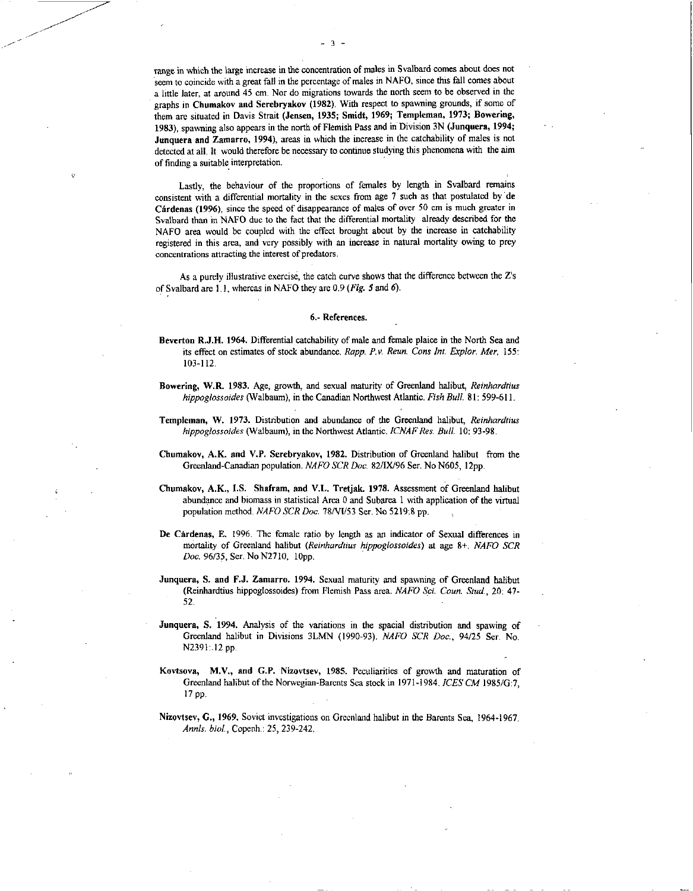range in which the large increase in the concentration of males in Svalbard comes about does not seem to coincide with a great fall in the percentage of males in NAFO, since this fall comes about a little later, at around 45 cm. Nor do migrations towards the north seem to be observed in the graphs in Chumakov and Serebryakov (1982). With respect to spawning grounds, if some of them are situated in Davis Strait (Jensen, 1935; Smidt, 1969; Templeman, 1973; Bowering, 1983), spawning also appears in the north of Flemish Pass and in Division 3N (Junquera, 1994; Junquera and Zamarro, 1994), areas in which the increase in the catchability of males is not detected at all. It would therefore be necessary to continue studying this phenomena with the aim of finding a suitable interpretation.

Lastly, the behaviour of the proportions of females by length in Svalbard remains consistent with a differential mortality in the sexes from age 7 such as that postulated by de Cardenas (1996), since the speed of disappearance of males of over 50 cm is much greater in Svalbard than in NAFO due to the fact that the differential mortality already described for the NAFO area would be coupled with the effect brought about by the increase in catchability registered in this area, and very possibly with an increase in natural mortality owing to prey concentrations attracting the interest of predators.

As a purely illustrative exercise, the catch curve shows that the difference between the Z's of Svalbard are 1.1, whereas in NAFO they are 0.9 *(Fig. 5* and *6).* 

#### 6.- References.

- Beverton R.J.H. 1964. Differential catchability of male and female plaice in the North Sea and its effect on estimates of stock abundance. *Rapp. P.v. Reun. Cons Int. Explor. Mer,* 155: 103-112.
- Bowering, W.R. 1983. Age, growth, and sexual maturity of Greenland halibut, *Reinhardtius hippoglossoides* (Walbaum), in the Canadian Northwest Atlantic. *Fish Bull.* 81: 599-611.
- Templeman, W. 1973. Distribution and abundance of the Greenland halibut, *Reinhardtius hippoglossoides* (Walbaum), in the Northwest Atlantic. *ICNAF Res. Bull.* 10: 93-98.
- Chumakov, A.K. and V.P. Serebryakov, 1982. Distribution of Greenland halibut from the Greenland-Canadian population. *NAFO SCR Doc.* 82/IX/96 Ser. No N605, 12pp.
- Chumakov, A.K., I.S. Shafram, and V.L. Tretjak. 1978. Assessment of Greenland halibut abundance and biomass in statistical Area 0 and Subarea 1 with application of the virtual population method. *NAFO SCR Doc.* 78/VI/53 Ser. No 5219:8 pp.
- De Cardenas, E. 1996. The female ratio by length as an indicator of Sexual differences in mortality of Greenland halibut *(Reinhardtius hippoglossoides) at* age 8+. *NAFO SCR Doc.* 96/35, Ser. No N2710, lOpp.
- Junquera, S. and F.J. Zamarro. 1994. Sexual maturity and spawning of Greenland halibut (Reinhardtius hippoglossoides) from Flemish Pass area. *NAFO Sc!. Coun. Stud.,* 20: 47- 52.
- Junquera, S. 1994. Analysis of the variations in the spacial distribution and spawing of Greenland halibut in Divisions 3LMN (1990-93). *NAFO SCR Doc.,* 94/25 Ser. No. N2391:12 pp.
- Kovtsova, M.V., and G.P. Nizovtsev, 1985. Peculiarities of growth and maturation of Greenland halibut of the Norwegian-Barents Sea stock in 1971-1984. *ICES CM* I985/G:7, 17 pp.
- Nizovtsev, G., 1969. Soviet investigations on Greenland halibut in the Barents Sea, 1964-1967. *Annls. biol. ,* Copenh.: 25, 239-242.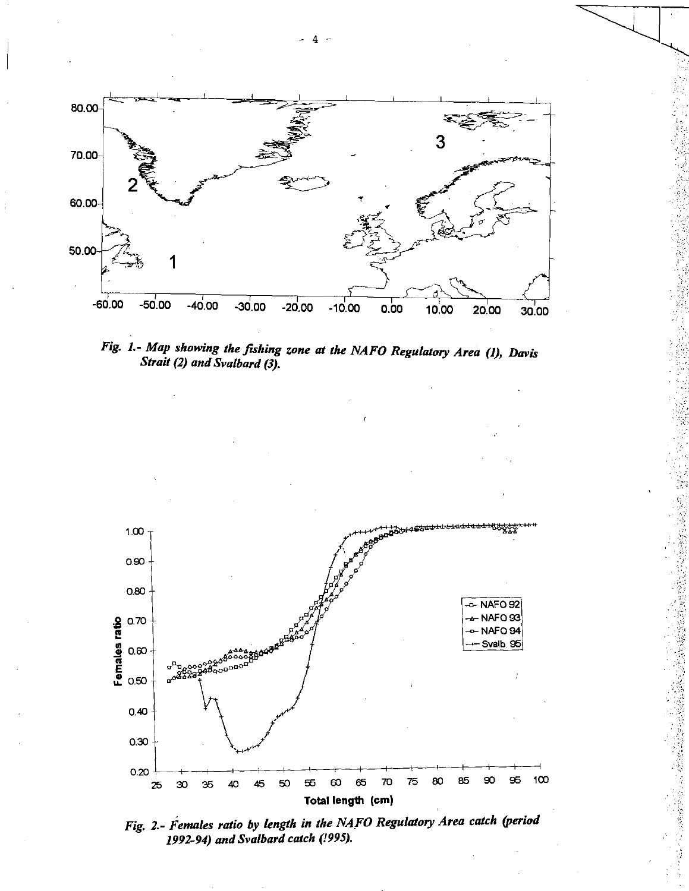

*Fig. 1.- Map showing the fishing zone at the NAFO Regulatory Area (1), Davis Strait (2) and Svalbard (3).* 



*Fig. 2.- Females ratio by length in the NAFO Regulatory Area catch (period 1992-94) and Svalbard catch (1995).*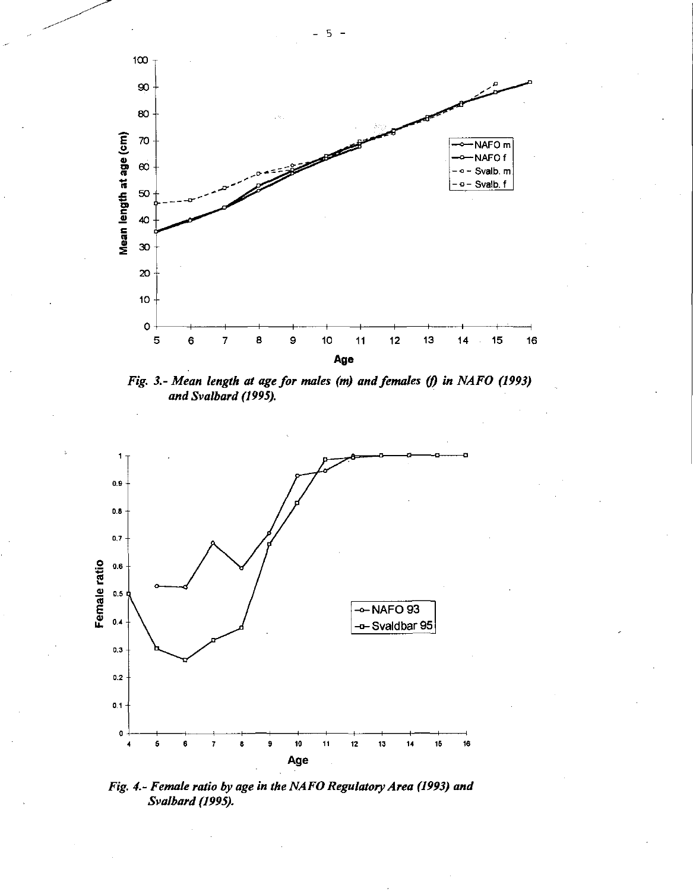

Fig. 3.- Mean length at age for males (m) and females (f) in NAFO (1993) and Svalbard (1995).



Fig. 4.- Female ratio by age in the NAFO Regulatory Area (1993) and Svalbard (1995).